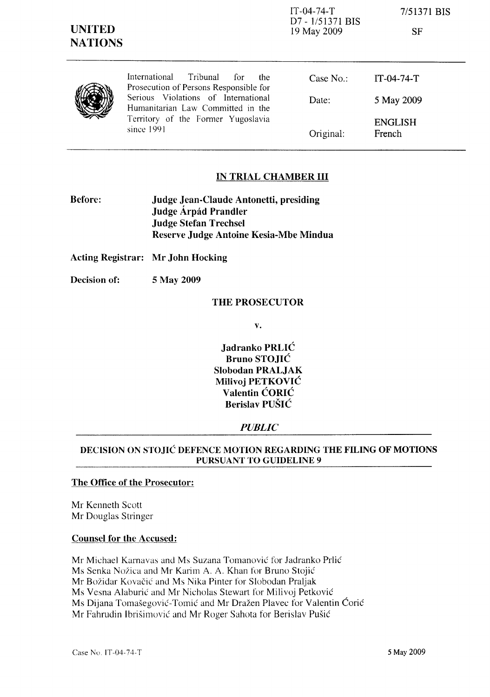| <b>UNITED</b><br><b>NATIONS</b> |                                                                                                                                                                                                                   | $IT-04-74-T$<br>D7 - 1/51371 BIS<br>19 May 2009 | 7/51371 BIS<br>SF        |
|---------------------------------|-------------------------------------------------------------------------------------------------------------------------------------------------------------------------------------------------------------------|-------------------------------------------------|--------------------------|
|                                 | International<br>Tribunal<br>for<br>the<br>Prosecution of Persons Responsible for<br>Serious Violations of International<br>Humanitarian Law Committed in the<br>Territory of the Former Yugoslavia<br>since 1991 | Case No.:                                       | $IT-04-74-T$             |
|                                 |                                                                                                                                                                                                                   | Date:                                           | 5 May 2009               |
|                                 |                                                                                                                                                                                                                   | Original:                                       | <b>ENGLISH</b><br>French |

# IN TRIAL CHAMBER III

Before: Judge Jean-Claude Antonetti, presiding Judge Árpád Prandler Judge Stefan Trechsel Reserve Judge Antoine Kesia-Mbe Mindua

Acting Registrar: Mr John Hocking

Decision of: 5 May 2009

#### THE PROSECUTOR

v.

Jadranko PRLIĆ Bruno STOJIĆ Slobodan PRALJAK Milivoj PETKOVIĆ Valentin ĆORIĆ Berislav PUŠIĆ

#### *PUBLIC*

### DECISION ON STOJIĆ DEFENCE MOTION REGARDING THE FILING OF MOTIONS PURSUANT TO GUIDELINE 9

# The Office of the Prosecutor:

Mr Kenneth Scott Mr Douglas Stringer

### Counsel for the Accused:

Mr Michael Karnavas and Ms Suzana Tomanović for Jadranko Prlić Ms Senka Nožica and Mr Karim A. A. Khan for Bruno Stojić Mr Božidar Kovačić and Ms Nika Pinter for Slobodan Praljak Ms Vesna Alaburić and Mr Nicholas Stewart for Milivoj Petković Ms Dijana Tomašegović-Tomić and Mr Dražen Plavec for Valentin Ćorić Mr Fahrudin lbrišimović and Mr Roger Sahota for Berislav Pušić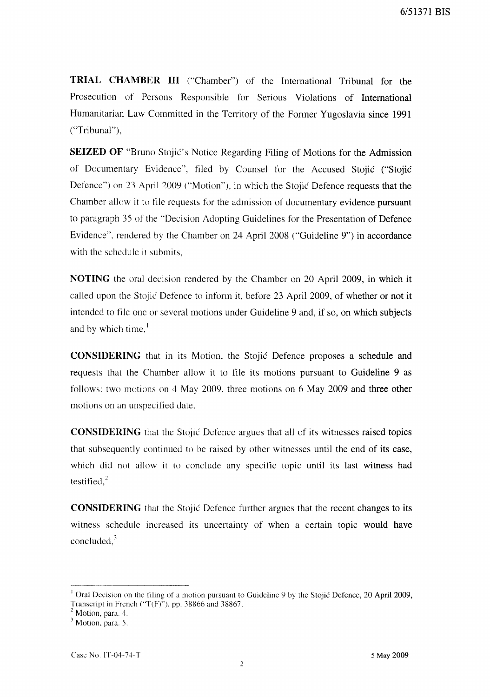**TRIAL CHAMBER III** ("Chamber") of the International Tribunal for the Prosecution of Persons Responsible for Serious Violations of International Humanitarian Law Committed in the Territory of the Former Yugoslavia since 1991 ("Tribunal"),

**SEIZED OF** "Bruno Stojić's Notice Regarding Filing of Motions for the Admission of Documentary Evidence", filed by Counsel for the Accused Stojić ("Stojić Defence") on 23 April 2009 ("Motion"), in which the Stojić Defence requests that the Chamber allow it to file requests for the admission of documentary evidence pursuant to paragraph 35 of the "Decision Adopting Guidelines for the Presentation of Defence Evidence", rendered by the Chamber on 24 April 2008 ("Guideline 9") in accordance with the schedule it submits,

**NOTING** the oral decision rendered by the Chamber on 20 April 2009, in which it called upon the Stojić Defence to inform it, before 23 April 2009, of whether or not it intended to file one or several motions under Guideline 9 and, if so, on which subjects and by which time, $\frac{1}{1}$ 

**CONSIDERING** that in its Motion, the Stojić Defence proposes a schedule and requests that the Chamber allow it to file its motions pursuant to Guideline 9 as follows: two motions on 4 May 2009, three motions on 6 May 2009 and three other motions on an unspecified date,

**CONSIDERING** that the Stojić Defence argues that all of its witnesses raised topics that subsequently continued to be raised by other witnesses until the end of its case, which did not allow it to conclude any specific topic until its last witness had testified. $^{2}$ 

**CONSIDERING** that the Stojić Defence further argues that the recent changes to its witness schedule increased its uncertainty of when a certain topic would have concluded, $3$ 

<sup>&</sup>lt;sup>1</sup> Oral Decision on the filing of a motion pursuant to Guideline 9 by the Stojić Defence, 20 April 2009, Transcript in French ("T(F)"), pp. 38866 and 38867.

Motion, para. 4.

<sup>&</sup>lt;sup>3</sup> Motion, para. 5.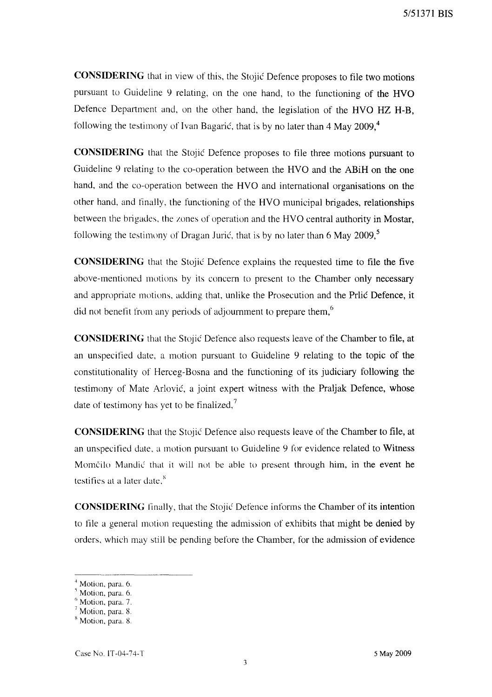**CONSIDERING** that in view of this, the Stojić Defence proposes to file two motions pursuant to Guideline 9 relating, on the one hand, to the functioning of the HVO Defence Department and, on the other hand, the legislation of the HVO HZ H-B, following the testimony of Ivan Bagarić, that is by no later than 4 May 2009,<sup>4</sup>

**CONSIDERING** that the Stojić Defence proposes to file three motions pursuant to Guideline 9 relating to the co-operation between the HVO and the ABiH on the one hand, and the co-operation between the HVO and international organisations on the other hand, and finally, the functioning of the HVO municipal brigades, relationships between the brigades, the zones of operation and the HVO central authority in Mostar, following the testimony of Dragan Jurić, that is by no later than 6 May 2009, $\degree$ 

**CONSIDERING** that the Stojić Defence explains the requested time to file the five above-mentioned motions by its concern to present to the Chamber only necessary and appropriate motions, adding that, unlike the Prosecution and the Prlić Defence, it did not benefit from any periods of adjournment to prepare them,<sup>6</sup>

**CONSIDERING** that the Stojić Defence also requests leave of the Chamber to file, at an unspecified date, a motion pursuant to Guidehne 9 relating to the topic of the constitutionality of Herceg-Bosna and the functioning of its judiciary following the testimony of Mate Arlović, a joint expert witness with the Praljak Defence, whose date of testimony has yet to be finalized, $<sup>7</sup>$ </sup>

**CONSIDERING** that the Stojić Defence also requests leave of the Chamber to file, at an unspecified date. a motion pursuant to Guideline 9 for evidence related to Witness Momčilo Mandić that it will not be able to present through him, in the event he testifies at a later date. $<sup>8</sup>$ </sup>

**CONSIDERING** finally, that the Stojić Defence informs the Chamber of its intention to file a general motion requesting the admission of exhibits that might be denied by orders. which may still be pending before the Chamber, for the admission of evidence

Motion, para. 6.

 $\frac{5}{1}$  Motion, para. 6.

 $<sup>6</sup>$  Motion, para. 7.</sup>

<sup>7</sup> Motion. para. 8.

<sup>&</sup>lt;sup>8</sup> Motion, para. 8.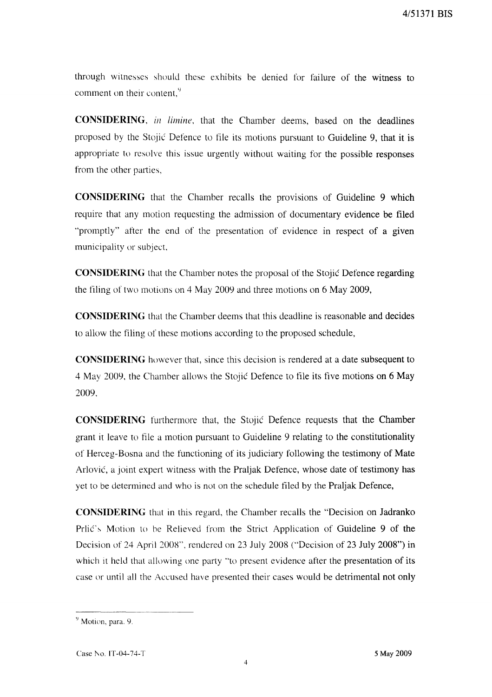through witnesses should these exhibits be denied for failure of the witness to comment on their content,  $9<sup>9</sup>$ 

CONSIDERING, in *limine*, that the Chamber deems, based on the deadlines proposed by the Stojić Defence to file its motions pursuant to Guideline 9, that it is appropriate to resolve this issue urgently without waiting for the possible responses from the other parties,

**CONSIDERING** that the Chamber recalls the provisions of Guideline 9 which require that any motion requesting the admission of documentary evidence be filed "promptly" after the end of the presentation of evidence in respect of a given municipality or subject,

**CONSIDERING** that the Chamber notes the proposal of the Stojić Defence regarding the filing of two motions on 4 May 2009 and three motions on 6 May 2009,

**CONSIDERING** that the Chamber deems that this deadline is reasonable and decides to allow the filing of these motions according to the proposed schedule,

**CONSIDERING** however that, since this decision is rendered at a date subsequent to 4 May 2009, the Chamber allows the Stojić Defence to file its five motions on 6 May 2009,

**CONSIDERING** furthermore that, the Stojić Defence requests that the Chamber grant it leave to file a motion pursuant to Guideline 9 relating to the constitutionality of Herceg-Bosna and the functioning of its judiciary following the testimony of Mate Arlović, a joint expert witness with the Praljak Defence, whose date of testimony has yet to be determined and who is not on the schedule filed by the Praljak Defence,

**CONSIDERING** that in this regard, the Chamber recalls the "Decision on Jadranko Prlić's Motion to be Relieved from the Strict Application of Guideline 9 of the Decision of 24 April 200X", rendered on 23 July 2008 ("Decision of 23 July 2008") in which it held that allowing one party "to present evidence after the presentation of its case or until all the Accused have presented their cases would be detrimental not only

<sup>&</sup>lt;sup>9</sup> Motion, para. 9.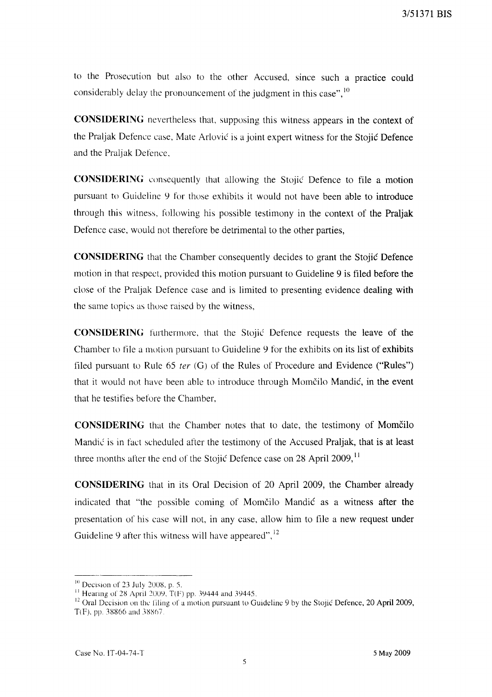to the Prosecution but also to the other Accused, since such a practice could considerably delay the pronouncement of the judgment in this case",  $^{10}$ 

**CONSIDERING** nevertheless that, supposing this witness appears in the context of the Praljak Defence case, Mate Arlović is a joint expert witness for the Stojić Defence and the Praljak Defence,

**CONSIDERING** consequently that allowing the Stojić Defence to file a motion pursuant to Guideline 9 for those exhibits it would not have been able to introduce through this witness, following his possible testimony in the context of the Praljak Defence case, would not therefore be detrimental to the other parties,

**CONSIDERING** that the Chamber consequently decides to grant the Stojić Defence motion in that respect, provided this motion pursuant to Guideline 9 is filed before the close of the Praljak Defence case and is limited to presenting evidence dealing with the same topics as those raised by the witness,

**CONSIDERING** furthermore, that the Stojić Defence requests the leave of the Chamber to file a motion pursuant to Guideline 9 for the exhibits on its list of exhibits filed pursuant to Rule 65 *ter* (G) of the Rules of Procedure and Evidence ("Rules") that it would not have been able to introduce through Momčilo Mandić, in the event that he testifies before the Chamber,

**CONSIDERING** that the Chamber notes that to date, the testimony of Momčilo Mandić is in fact scheduled after the testimony of the Accused Praljak, that is at least three months after the end of the Stojić Defence case on 28 April 2009,<sup>11</sup>

**CONSIDERING** that in its Oral Decision of 20 April 2009, the Chamber already indicated that "the possible coming of Momčilo Mandić as a witness after the presentation of his case will not, in any case, allow him to file a new request under Guideline 9 after this witness will have appeared",<sup>12</sup>

 $10$  Decision of 23 July 2008, p. 5.

<sup>&</sup>lt;sup>11</sup> Hearing of 28 April 2009, T(F) pp. 39444 and 39445.

<sup>&</sup>lt;sup>12</sup> Oral Decision on the filing of a motion pursuant to Guideline 9 by the Stojić Defence, 20 April 2009, T(F), pp. 38866 and 38867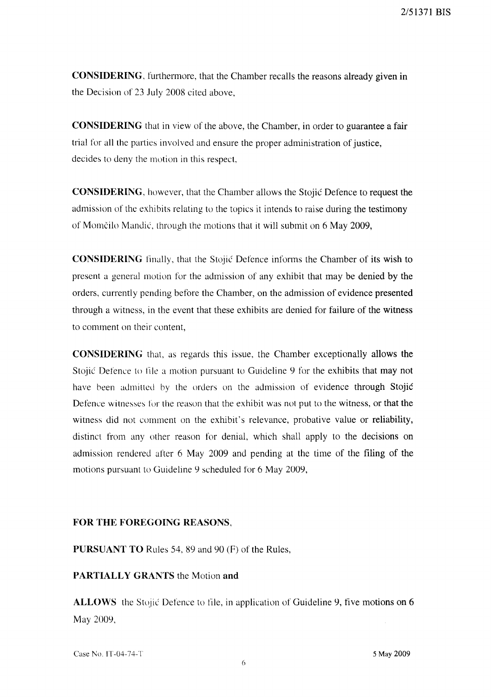**CONSIDERING,** furthermore, that the Chamber recalls the reasons already given in the Decision of 23 July 2008 cited above,

**CONSIDERING** that in view of the above, the Chamber, in order to guarantee a fair trial for all the parties involved and ensure the proper administration of justice, decides to deny the motion in this respect,

**CONSIDERING,** however, that the Chamber allows the Stojić Defence to request the admission of the exhibits relating to the topics it intends to raise during the testimony of Momčilo Mandić, through the motions that it will submit on 6 May 2009,

**CONSIDERING** finally, that the Stojić Defence informs the Chamber of its wish to present a general motion for the admission of any exhibit that may be denied by the orders, currently pending before the Chamber, on the admission of evidence presented through a witness, in the event that these exhibits are denied for failure of the witness to comment on their content,

**CONSIDERING** that, as regards this issue, the Chamber exceptionally allows the Stojić Defence to file a motion pursuant to Guideline 9 for the exhibits that may not have been admitted by the orders on the admission of evidence through Stojić Defence witnesses for the reason that the exhibit was not put to the witness, or that the witness did not comment on the exhibit's relevance, probative value or reliability, distinct from any other reason for denial, which shall apply to the decisions on admission rendered after 6 May 2009 and pending at the time of the filing of the motions pursuant to Guideline 9 scheduled for 6 May 2009,

#### **FOR THE FOREGOING** REASONS,

**PURSUANT TO** Rules 54, 89 and 90 (F) of the Rules,

## **PARTIALLY GRANTS** the Motion **and**

ALLOWS the Stojić Defence to file, in application of Guideline 9, five motions on 6 May 2009,